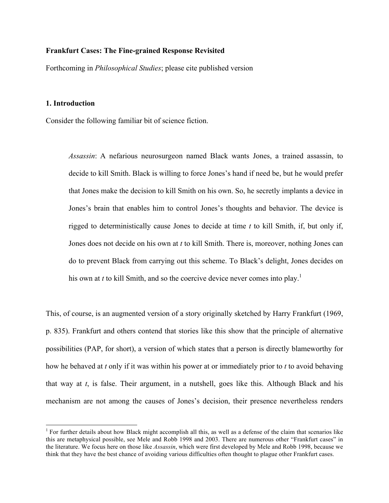# **Frankfurt Cases: The Fine-grained Response Revisited**

Forthcoming in *Philosophical Studies*; please cite published version

## **1. Introduction**

Consider the following familiar bit of science fiction.

*Assassin*: A nefarious neurosurgeon named Black wants Jones, a trained assassin, to decide to kill Smith. Black is willing to force Jones's hand if need be, but he would prefer that Jones make the decision to kill Smith on his own. So, he secretly implants a device in Jones's brain that enables him to control Jones's thoughts and behavior. The device is rigged to deterministically cause Jones to decide at time *t* to kill Smith, if, but only if, Jones does not decide on his own at *t* to kill Smith. There is, moreover, nothing Jones can do to prevent Black from carrying out this scheme. To Black's delight, Jones decides on his own at *t* to kill Smith, and so the coercive device never comes into play.<sup>1</sup>

This, of course, is an augmented version of a story originally sketched by Harry Frankfurt (1969, p. 835). Frankfurt and others contend that stories like this show that the principle of alternative possibilities (PAP, for short), a version of which states that a person is directly blameworthy for how he behaved at *t* only if it was within his power at or immediately prior to *t* to avoid behaving that way at *t*, is false. Their argument, in a nutshell, goes like this. Although Black and his mechanism are not among the causes of Jones's decision, their presence nevertheless renders

<sup>&</sup>lt;sup>1</sup> For further details about how Black might accomplish all this, as well as a defense of the claim that scenarios like this are metaphysical possible, see Mele and Robb 1998 and 2003. There are numerous other "Frankfurt cases" in the literature. We focus here on those like *Assassin*, which were first developed by Mele and Robb 1998, because we think that they have the best chance of avoiding various difficulties often thought to plague other Frankfurt cases.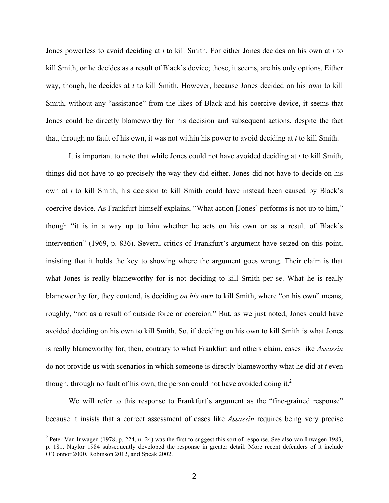Jones powerless to avoid deciding at *t* to kill Smith. For either Jones decides on his own at *t* to kill Smith, or he decides as a result of Black's device; those, it seems, are his only options. Either way, though, he decides at *t* to kill Smith. However, because Jones decided on his own to kill Smith, without any "assistance" from the likes of Black and his coercive device, it seems that Jones could be directly blameworthy for his decision and subsequent actions, despite the fact that, through no fault of his own, it was not within his power to avoid deciding at *t* to kill Smith.

It is important to note that while Jones could not have avoided deciding at *t* to kill Smith, things did not have to go precisely the way they did either. Jones did not have to decide on his own at *t* to kill Smith; his decision to kill Smith could have instead been caused by Black's coercive device. As Frankfurt himself explains, "What action [Jones] performs is not up to him," though "it is in a way up to him whether he acts on his own or as a result of Black's intervention" (1969, p. 836). Several critics of Frankfurt's argument have seized on this point, insisting that it holds the key to showing where the argument goes wrong. Their claim is that what Jones is really blameworthy for is not deciding to kill Smith per se. What he is really blameworthy for, they contend, is deciding *on his own* to kill Smith, where "on his own" means, roughly, "not as a result of outside force or coercion." But, as we just noted, Jones could have avoided deciding on his own to kill Smith. So, if deciding on his own to kill Smith is what Jones is really blameworthy for, then, contrary to what Frankfurt and others claim, cases like *Assassin* do not provide us with scenarios in which someone is directly blameworthy what he did at *t* even though, through no fault of his own, the person could not have avoided doing it.<sup>2</sup>

We will refer to this response to Frankfurt's argument as the "fine-grained response" because it insists that a correct assessment of cases like *Assassin* requires being very precise

<sup>&</sup>lt;sup>2</sup> Peter Van Inwagen (1978, p. 224, n. 24) was the first to suggest this sort of response. See also van Inwagen 1983, p. 181. Naylor 1984 subsequently developed the response in greater detail. More recent defenders of it include O'Connor 2000, Robinson 2012, and Speak 2002.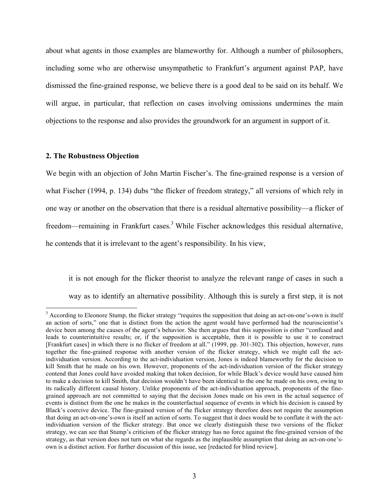about what agents in those examples are blameworthy for. Although a number of philosophers, including some who are otherwise unsympathetic to Frankfurt's argument against PAP, have dismissed the fine-grained response, we believe there is a good deal to be said on its behalf. We will argue, in particular, that reflection on cases involving omissions undermines the main objections to the response and also provides the groundwork for an argument in support of it.

### **2. The Robustness Objection**

We begin with an objection of John Martin Fischer's. The fine-grained response is a version of what Fischer (1994, p. 134) dubs "the flicker of freedom strategy," all versions of which rely in one way or another on the observation that there is a residual alternative possibility—a flicker of freedom—remaining in Frankfurt cases.<sup>3</sup> While Fischer acknowledges this residual alternative, he contends that it is irrelevant to the agent's responsibility. In his view,

it is not enough for the flicker theorist to analyze the relevant range of cases in such a way as to identify an alternative possibility. Although this is surely a first step, it is not

<sup>&</sup>lt;sup>3</sup> According to Eleonore Stump, the flicker strategy "requires the supposition that doing an act-on-one's-own is itself an action of sorts," one that is distinct from the action the agent would have performed had the neuroscientist's device been among the causes of the agent's behavior. She then argues that this supposition is either "confused and leads to counterintuitive results; or, if the supposition is acceptable, then it is possible to use it to construct [Frankfurt cases] in which there is no flicker of freedom at all." (1999, pp. 301-302). This objection, however, runs together the fine-grained response with another version of the flicker strategy, which we might call the actindividuation version. According to the act-individuation version, Jones is indeed blameworthy for the decision to kill Smith that he made on his own. However, proponents of the act-individuation version of the flicker strategy contend that Jones could have avoided making that token decision, for while Black's device would have caused him to make a decision to kill Smith, that decision wouldn't have been identical to the one he made on his own, owing to its radically different causal history. Unlike proponents of the act-individuation approach, proponents of the finegrained approach are not committed to saying that the decision Jones made on his own in the actual sequence of events is distinct from the one he makes in the counterfactual sequence of events in which his decision is caused by Black's coercive device. The fine-grained version of the flicker strategy therefore does not require the assumption that doing an act-on-one's-own is itself an action of sorts. To suggest that it does would be to conflate it with the actindividuation version of the flicker strategy. But once we clearly distinguish these two versions of the flicker strategy, we can see that Stump's criticism of the flicker strategy has no force against the fine-grained version of the strategy, as that version does not turn on what she regards as the implausible assumption that doing an act-on-one'sown is a distinct action. For further discussion of this issue, see [redacted for blind review].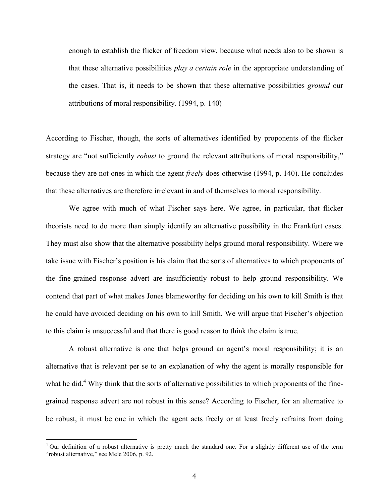enough to establish the flicker of freedom view, because what needs also to be shown is that these alternative possibilities *play a certain role* in the appropriate understanding of the cases. That is, it needs to be shown that these alternative possibilities *ground* our attributions of moral responsibility. (1994, p. 140)

According to Fischer, though, the sorts of alternatives identified by proponents of the flicker strategy are "not sufficiently *robust* to ground the relevant attributions of moral responsibility," because they are not ones in which the agent *freely* does otherwise (1994, p. 140). He concludes that these alternatives are therefore irrelevant in and of themselves to moral responsibility.

We agree with much of what Fischer says here. We agree, in particular, that flicker theorists need to do more than simply identify an alternative possibility in the Frankfurt cases. They must also show that the alternative possibility helps ground moral responsibility. Where we take issue with Fischer's position is his claim that the sorts of alternatives to which proponents of the fine-grained response advert are insufficiently robust to help ground responsibility. We contend that part of what makes Jones blameworthy for deciding on his own to kill Smith is that he could have avoided deciding on his own to kill Smith. We will argue that Fischer's objection to this claim is unsuccessful and that there is good reason to think the claim is true.

A robust alternative is one that helps ground an agent's moral responsibility; it is an alternative that is relevant per se to an explanation of why the agent is morally responsible for what he did.<sup>4</sup> Why think that the sorts of alternative possibilities to which proponents of the finegrained response advert are not robust in this sense? According to Fischer, for an alternative to be robust, it must be one in which the agent acts freely or at least freely refrains from doing

<sup>&</sup>lt;sup>4</sup> Our definition of a robust alternative is pretty much the standard one. For a slightly different use of the term "robust alternative," see Mele 2006, p. 92.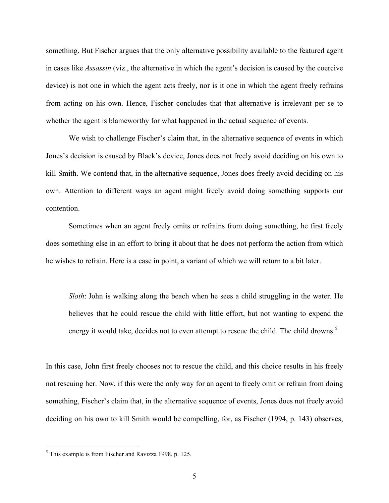something. But Fischer argues that the only alternative possibility available to the featured agent in cases like *Assassin* (viz., the alternative in which the agent's decision is caused by the coercive device) is not one in which the agent acts freely, nor is it one in which the agent freely refrains from acting on his own. Hence, Fischer concludes that that alternative is irrelevant per se to whether the agent is blameworthy for what happened in the actual sequence of events.

We wish to challenge Fischer's claim that, in the alternative sequence of events in which Jones's decision is caused by Black's device, Jones does not freely avoid deciding on his own to kill Smith. We contend that, in the alternative sequence, Jones does freely avoid deciding on his own. Attention to different ways an agent might freely avoid doing something supports our contention.

Sometimes when an agent freely omits or refrains from doing something, he first freely does something else in an effort to bring it about that he does not perform the action from which he wishes to refrain. Here is a case in point, a variant of which we will return to a bit later.

*Sloth*: John is walking along the beach when he sees a child struggling in the water. He believes that he could rescue the child with little effort, but not wanting to expend the energy it would take, decides not to even attempt to rescue the child. The child drowns.<sup>5</sup>

In this case, John first freely chooses not to rescue the child, and this choice results in his freely not rescuing her. Now, if this were the only way for an agent to freely omit or refrain from doing something, Fischer's claim that, in the alternative sequence of events, Jones does not freely avoid deciding on his own to kill Smith would be compelling, for, as Fischer (1994, p. 143) observes,

 <sup>5</sup> This example is from Fischer and Ravizza 1998, p. 125.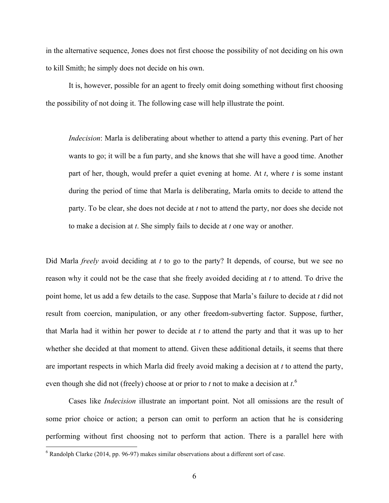in the alternative sequence, Jones does not first choose the possibility of not deciding on his own to kill Smith; he simply does not decide on his own.

It is, however, possible for an agent to freely omit doing something without first choosing the possibility of not doing it. The following case will help illustrate the point.

*Indecision*: Marla is deliberating about whether to attend a party this evening. Part of her wants to go; it will be a fun party, and she knows that she will have a good time. Another part of her, though, would prefer a quiet evening at home. At *t*, where *t* is some instant during the period of time that Marla is deliberating, Marla omits to decide to attend the party. To be clear, she does not decide at *t* not to attend the party, nor does she decide not to make a decision at *t*. She simply fails to decide at *t* one way or another.

Did Marla *freely* avoid deciding at *t* to go to the party? It depends, of course, but we see no reason why it could not be the case that she freely avoided deciding at *t* to attend. To drive the point home, let us add a few details to the case. Suppose that Marla's failure to decide at *t* did not result from coercion, manipulation, or any other freedom-subverting factor. Suppose, further, that Marla had it within her power to decide at *t* to attend the party and that it was up to her whether she decided at that moment to attend. Given these additional details, it seems that there are important respects in which Marla did freely avoid making a decision at *t* to attend the party, even though she did not (freely) choose at or prior to *t* not to make a decision at *t*. 6

Cases like *Indecision* illustrate an important point. Not all omissions are the result of some prior choice or action; a person can omit to perform an action that he is considering performing without first choosing not to perform that action. There is a parallel here with

 $6$  Randolph Clarke (2014, pp. 96-97) makes similar observations about a different sort of case.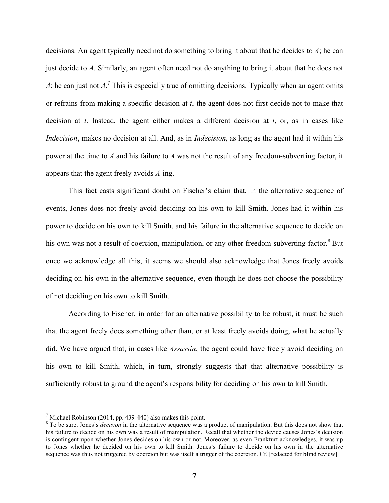decisions. An agent typically need not do something to bring it about that he decides to *A*; he can just decide to *A*. Similarly, an agent often need not do anything to bring it about that he does not *A*; he can just not  $A$ <sup>7</sup>. This is especially true of omitting decisions. Typically when an agent omits or refrains from making a specific decision at *t*, the agent does not first decide not to make that decision at *t*. Instead, the agent either makes a different decision at *t*, or, as in cases like *Indecision*, makes no decision at all. And, as in *Indecision*, as long as the agent had it within his power at the time to *A* and his failure to *A* was not the result of any freedom-subverting factor, it appears that the agent freely avoids *A*-ing.

This fact casts significant doubt on Fischer's claim that, in the alternative sequence of events, Jones does not freely avoid deciding on his own to kill Smith. Jones had it within his power to decide on his own to kill Smith, and his failure in the alternative sequence to decide on his own was not a result of coercion, manipulation, or any other freedom-subverting factor.<sup>8</sup> But once we acknowledge all this, it seems we should also acknowledge that Jones freely avoids deciding on his own in the alternative sequence, even though he does not choose the possibility of not deciding on his own to kill Smith.

According to Fischer, in order for an alternative possibility to be robust, it must be such that the agent freely does something other than, or at least freely avoids doing, what he actually did. We have argued that, in cases like *Assassin*, the agent could have freely avoid deciding on his own to kill Smith, which, in turn, strongly suggests that that alternative possibility is sufficiently robust to ground the agent's responsibility for deciding on his own to kill Smith.

<sup>&</sup>lt;sup>7</sup> Michael Robinson (2014, pp. 439-440) also makes this point.<br><sup>8</sup> To be sure, Jones's *decision* in the alternative sequence was a product of manipulation. But this does not show that his failure to decide on his own was a result of manipulation. Recall that whether the device causes Jones's decision is contingent upon whether Jones decides on his own or not. Moreover, as even Frankfurt acknowledges, it was up to Jones whether he decided on his own to kill Smith. Jones's failure to decide on his own in the alternative sequence was thus not triggered by coercion but was itself a trigger of the coercion. Cf. [redacted for blind review].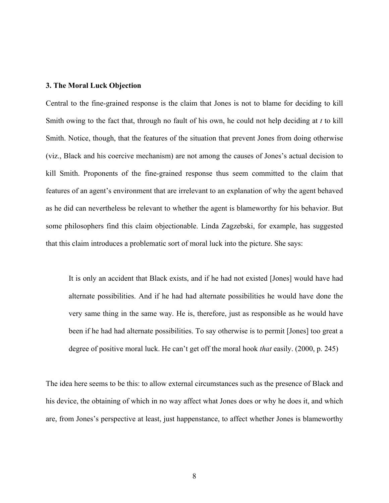#### **3. The Moral Luck Objection**

Central to the fine-grained response is the claim that Jones is not to blame for deciding to kill Smith owing to the fact that, through no fault of his own, he could not help deciding at *t* to kill Smith. Notice, though, that the features of the situation that prevent Jones from doing otherwise (viz., Black and his coercive mechanism) are not among the causes of Jones's actual decision to kill Smith. Proponents of the fine-grained response thus seem committed to the claim that features of an agent's environment that are irrelevant to an explanation of why the agent behaved as he did can nevertheless be relevant to whether the agent is blameworthy for his behavior. But some philosophers find this claim objectionable. Linda Zagzebski, for example, has suggested that this claim introduces a problematic sort of moral luck into the picture. She says:

It is only an accident that Black exists, and if he had not existed [Jones] would have had alternate possibilities. And if he had had alternate possibilities he would have done the very same thing in the same way. He is, therefore, just as responsible as he would have been if he had had alternate possibilities. To say otherwise is to permit [Jones] too great a degree of positive moral luck. He can't get off the moral hook *that* easily. (2000, p. 245)

The idea here seems to be this: to allow external circumstances such as the presence of Black and his device, the obtaining of which in no way affect what Jones does or why he does it, and which are, from Jones's perspective at least, just happenstance, to affect whether Jones is blameworthy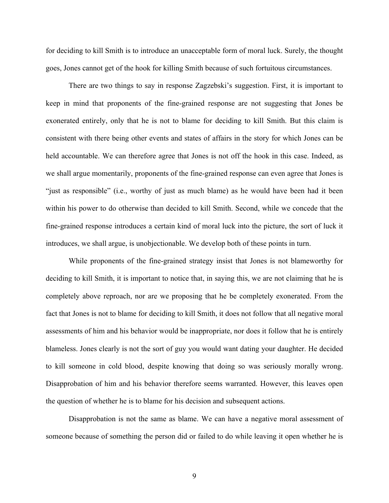for deciding to kill Smith is to introduce an unacceptable form of moral luck. Surely, the thought goes, Jones cannot get of the hook for killing Smith because of such fortuitous circumstances.

There are two things to say in response Zagzebski's suggestion. First, it is important to keep in mind that proponents of the fine-grained response are not suggesting that Jones be exonerated entirely, only that he is not to blame for deciding to kill Smith. But this claim is consistent with there being other events and states of affairs in the story for which Jones can be held accountable. We can therefore agree that Jones is not off the hook in this case. Indeed, as we shall argue momentarily, proponents of the fine-grained response can even agree that Jones is "just as responsible" (i.e., worthy of just as much blame) as he would have been had it been within his power to do otherwise than decided to kill Smith. Second, while we concede that the fine-grained response introduces a certain kind of moral luck into the picture, the sort of luck it introduces, we shall argue, is unobjectionable. We develop both of these points in turn.

While proponents of the fine-grained strategy insist that Jones is not blameworthy for deciding to kill Smith, it is important to notice that, in saying this, we are not claiming that he is completely above reproach, nor are we proposing that he be completely exonerated. From the fact that Jones is not to blame for deciding to kill Smith, it does not follow that all negative moral assessments of him and his behavior would be inappropriate, nor does it follow that he is entirely blameless. Jones clearly is not the sort of guy you would want dating your daughter. He decided to kill someone in cold blood, despite knowing that doing so was seriously morally wrong. Disapprobation of him and his behavior therefore seems warranted. However, this leaves open the question of whether he is to blame for his decision and subsequent actions.

Disapprobation is not the same as blame. We can have a negative moral assessment of someone because of something the person did or failed to do while leaving it open whether he is

9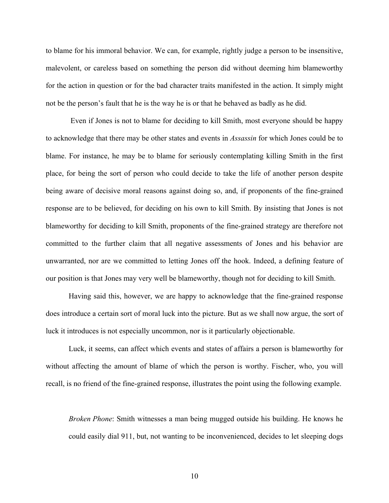to blame for his immoral behavior. We can, for example, rightly judge a person to be insensitive, malevolent, or careless based on something the person did without deeming him blameworthy for the action in question or for the bad character traits manifested in the action. It simply might not be the person's fault that he is the way he is or that he behaved as badly as he did.

Even if Jones is not to blame for deciding to kill Smith, most everyone should be happy to acknowledge that there may be other states and events in *Assassin* for which Jones could be to blame. For instance, he may be to blame for seriously contemplating killing Smith in the first place, for being the sort of person who could decide to take the life of another person despite being aware of decisive moral reasons against doing so, and, if proponents of the fine-grained response are to be believed, for deciding on his own to kill Smith. By insisting that Jones is not blameworthy for deciding to kill Smith, proponents of the fine-grained strategy are therefore not committed to the further claim that all negative assessments of Jones and his behavior are unwarranted, nor are we committed to letting Jones off the hook. Indeed, a defining feature of our position is that Jones may very well be blameworthy, though not for deciding to kill Smith.

Having said this, however, we are happy to acknowledge that the fine-grained response does introduce a certain sort of moral luck into the picture. But as we shall now argue, the sort of luck it introduces is not especially uncommon, nor is it particularly objectionable.

Luck, it seems, can affect which events and states of affairs a person is blameworthy for without affecting the amount of blame of which the person is worthy. Fischer, who, you will recall, is no friend of the fine-grained response, illustrates the point using the following example.

*Broken Phone*: Smith witnesses a man being mugged outside his building. He knows he could easily dial 911, but, not wanting to be inconvenienced, decides to let sleeping dogs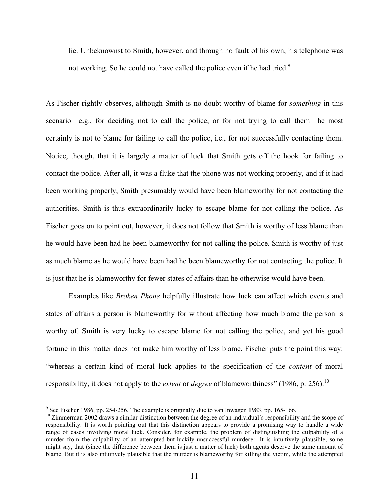lie. Unbeknownst to Smith, however, and through no fault of his own, his telephone was not working. So he could not have called the police even if he had tried.<sup>9</sup>

As Fischer rightly observes, although Smith is no doubt worthy of blame for *something* in this scenario—e.g., for deciding not to call the police, or for not trying to call them—he most certainly is not to blame for failing to call the police, i.e., for not successfully contacting them. Notice, though, that it is largely a matter of luck that Smith gets off the hook for failing to contact the police. After all, it was a fluke that the phone was not working properly, and if it had been working properly, Smith presumably would have been blameworthy for not contacting the authorities. Smith is thus extraordinarily lucky to escape blame for not calling the police. As Fischer goes on to point out, however, it does not follow that Smith is worthy of less blame than he would have been had he been blameworthy for not calling the police. Smith is worthy of just as much blame as he would have been had he been blameworthy for not contacting the police. It is just that he is blameworthy for fewer states of affairs than he otherwise would have been.

Examples like *Broken Phone* helpfully illustrate how luck can affect which events and states of affairs a person is blameworthy for without affecting how much blame the person is worthy of. Smith is very lucky to escape blame for not calling the police, and yet his good fortune in this matter does not make him worthy of less blame. Fischer puts the point this way: "whereas a certain kind of moral luck applies to the specification of the *content* of moral responsibility, it does not apply to the *extent* or *degree* of blameworthiness" (1986, p. 256).<sup>10</sup>

<sup>&</sup>lt;sup>9</sup> See Fischer 1986, pp. 254-256. The example is originally due to van Inwagen 1983, pp. 165-166.<br><sup>10</sup> Zimmerman 2002 draws a similar distinction between the degree of an individual's responsibility and the scope of responsibility. It is worth pointing out that this distinction appears to provide a promising way to handle a wide range of cases involving moral luck. Consider, for example, the problem of distinguishing the culpability of a murder from the culpability of an attempted-but-luckily-unsuccessful murderer. It is intuitively plausible, some might say, that (since the difference between them is just a matter of luck) both agents deserve the same amount of blame. But it is also intuitively plausible that the murder is blameworthy for killing the victim, while the attempted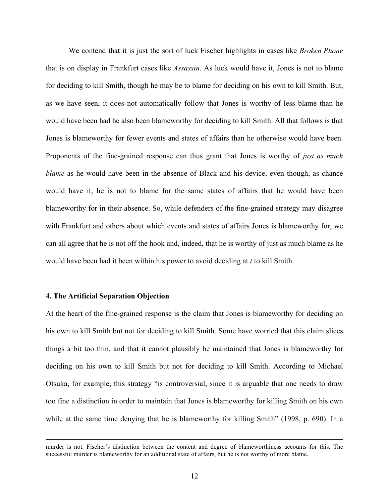We contend that it is just the sort of luck Fischer highlights in cases like *Broken Phone*  that is on display in Frankfurt cases like *Assassin*. As luck would have it, Jones is not to blame for deciding to kill Smith, though he may be to blame for deciding on his own to kill Smith. But, as we have seen, it does not automatically follow that Jones is worthy of less blame than he would have been had he also been blameworthy for deciding to kill Smith. All that follows is that Jones is blameworthy for fewer events and states of affairs than he otherwise would have been. Proponents of the fine-grained response can thus grant that Jones is worthy of *just as much blame* as he would have been in the absence of Black and his device, even though, as chance would have it, he is not to blame for the same states of affairs that he would have been blameworthy for in their absence. So, while defenders of the fine-grained strategy may disagree with Frankfurt and others about which events and states of affairs Jones is blameworthy for, we can all agree that he is not off the hook and, indeed, that he is worthy of just as much blame as he would have been had it been within his power to avoid deciding at *t* to kill Smith.

# **4. The Artificial Separation Objection**

At the heart of the fine-grained response is the claim that Jones is blameworthy for deciding on his own to kill Smith but not for deciding to kill Smith. Some have worried that this claim slices things a bit too thin, and that it cannot plausibly be maintained that Jones is blameworthy for deciding on his own to kill Smith but not for deciding to kill Smith. According to Michael Otsuka, for example, this strategy "is controversial, since it is arguable that one needs to draw too fine a distinction in order to maintain that Jones is blameworthy for killing Smith on his own while at the same time denying that he is blameworthy for killing Smith" (1998, p. 690). In a

murder is not. Fischer's distinction between the content and degree of blameworthiness accounts for this. The successful murder is blameworthy for an additional state of affairs, but he is not worthy of more blame.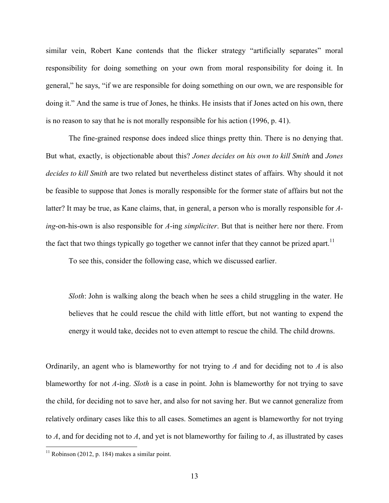similar vein, Robert Kane contends that the flicker strategy "artificially separates" moral responsibility for doing something on your own from moral responsibility for doing it. In general," he says, "if we are responsible for doing something on our own, we are responsible for doing it." And the same is true of Jones, he thinks. He insists that if Jones acted on his own, there is no reason to say that he is not morally responsible for his action (1996, p. 41).

The fine-grained response does indeed slice things pretty thin. There is no denying that. But what, exactly, is objectionable about this? *Jones decides on his own to kill Smith* and *Jones decides to kill Smith* are two related but nevertheless distinct states of affairs. Why should it not be feasible to suppose that Jones is morally responsible for the former state of affairs but not the latter? It may be true, as Kane claims, that, in general, a person who is morally responsible for *Aing*-on-his-own is also responsible for *A*-ing *simpliciter*. But that is neither here nor there. From the fact that two things typically go together we cannot infer that they cannot be prized apart.<sup>11</sup>

To see this, consider the following case, which we discussed earlier.

*Sloth*: John is walking along the beach when he sees a child struggling in the water. He believes that he could rescue the child with little effort, but not wanting to expend the energy it would take, decides not to even attempt to rescue the child. The child drowns.

Ordinarily, an agent who is blameworthy for not trying to *A* and for deciding not to *A* is also blameworthy for not *A*-ing. *Sloth* is a case in point. John is blameworthy for not trying to save the child, for deciding not to save her, and also for not saving her. But we cannot generalize from relatively ordinary cases like this to all cases. Sometimes an agent is blameworthy for not trying to *A*, and for deciding not to *A*, and yet is not blameworthy for failing to *A*, as illustrated by cases

 $11$  Robinson (2012, p. 184) makes a similar point.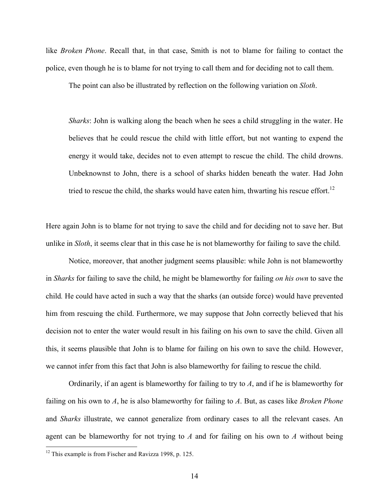like *Broken Phone*. Recall that, in that case, Smith is not to blame for failing to contact the police, even though he is to blame for not trying to call them and for deciding not to call them.

The point can also be illustrated by reflection on the following variation on *Sloth*.

*Sharks*: John is walking along the beach when he sees a child struggling in the water. He believes that he could rescue the child with little effort, but not wanting to expend the energy it would take, decides not to even attempt to rescue the child. The child drowns. Unbeknownst to John, there is a school of sharks hidden beneath the water. Had John tried to rescue the child, the sharks would have eaten him, thwarting his rescue effort.<sup>12</sup>

Here again John is to blame for not trying to save the child and for deciding not to save her. But unlike in *Sloth*, it seems clear that in this case he is not blameworthy for failing to save the child.

Notice, moreover, that another judgment seems plausible: while John is not blameworthy in *Sharks* for failing to save the child, he might be blameworthy for failing *on his own* to save the child*.* He could have acted in such a way that the sharks (an outside force) would have prevented him from rescuing the child. Furthermore, we may suppose that John correctly believed that his decision not to enter the water would result in his failing on his own to save the child. Given all this, it seems plausible that John is to blame for failing on his own to save the child. However, we cannot infer from this fact that John is also blameworthy for failing to rescue the child.

Ordinarily, if an agent is blameworthy for failing to try to *A*, and if he is blameworthy for failing on his own to *A*, he is also blameworthy for failing to *A*. But, as cases like *Broken Phone*  and *Sharks* illustrate, we cannot generalize from ordinary cases to all the relevant cases. An agent can be blameworthy for not trying to *A* and for failing on his own to *A* without being

<sup>&</sup>lt;sup>12</sup> This example is from Fischer and Ravizza 1998, p. 125.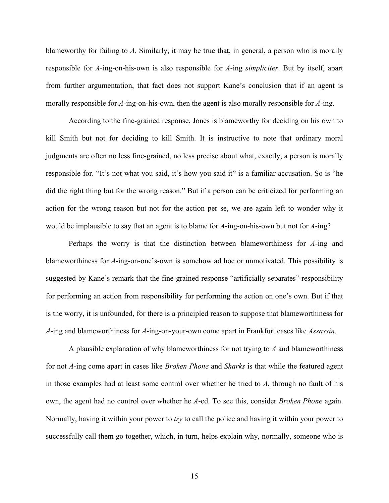blameworthy for failing to *A*. Similarly, it may be true that, in general, a person who is morally responsible for *A-*ing-on-his-own is also responsible for *A*-ing *simpliciter*. But by itself, apart from further argumentation, that fact does not support Kane's conclusion that if an agent is morally responsible for *A*-ing-on-his-own, then the agent is also morally responsible for *A*-ing.

According to the fine-grained response, Jones is blameworthy for deciding on his own to kill Smith but not for deciding to kill Smith. It is instructive to note that ordinary moral judgments are often no less fine-grained, no less precise about what, exactly, a person is morally responsible for. "It's not what you said, it's how you said it" is a familiar accusation. So is "he did the right thing but for the wrong reason." But if a person can be criticized for performing an action for the wrong reason but not for the action per se, we are again left to wonder why it would be implausible to say that an agent is to blame for *A*-ing-on-his-own but not for *A*-ing?

Perhaps the worry is that the distinction between blameworthiness for *A*-ing and blameworthiness for *A*-ing-on-one's-own is somehow ad hoc or unmotivated. This possibility is suggested by Kane's remark that the fine-grained response "artificially separates" responsibility for performing an action from responsibility for performing the action on one's own. But if that is the worry, it is unfounded, for there is a principled reason to suppose that blameworthiness for *A*-ing and blameworthiness for *A*-ing-on-your-own come apart in Frankfurt cases like *Assassin*.

A plausible explanation of why blameworthiness for not trying to *A* and blameworthiness for not *A*-ing come apart in cases like *Broken Phone* and *Sharks* is that while the featured agent in those examples had at least some control over whether he tried to *A*, through no fault of his own, the agent had no control over whether he *A*-ed. To see this, consider *Broken Phone* again. Normally, having it within your power to *try* to call the police and having it within your power to successfully call them go together, which, in turn, helps explain why, normally, someone who is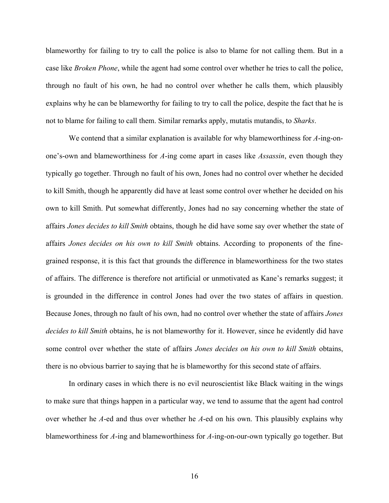blameworthy for failing to try to call the police is also to blame for not calling them. But in a case like *Broken Phone*, while the agent had some control over whether he tries to call the police, through no fault of his own, he had no control over whether he calls them, which plausibly explains why he can be blameworthy for failing to try to call the police, despite the fact that he is not to blame for failing to call them. Similar remarks apply, mutatis mutandis, to *Sharks*.

We contend that a similar explanation is available for why blameworthiness for *A*-ing-onone's-own and blameworthiness for *A*-ing come apart in cases like *Assassin*, even though they typically go together. Through no fault of his own, Jones had no control over whether he decided to kill Smith, though he apparently did have at least some control over whether he decided on his own to kill Smith. Put somewhat differently, Jones had no say concerning whether the state of affairs *Jones decides to kill Smith* obtains, though he did have some say over whether the state of affairs *Jones decides on his own to kill Smith* obtains. According to proponents of the finegrained response, it is this fact that grounds the difference in blameworthiness for the two states of affairs. The difference is therefore not artificial or unmotivated as Kane's remarks suggest; it is grounded in the difference in control Jones had over the two states of affairs in question. Because Jones, through no fault of his own, had no control over whether the state of affairs *Jones decides to kill Smith* obtains, he is not blameworthy for it. However, since he evidently did have some control over whether the state of affairs *Jones decides on his own to kill Smith* obtains, there is no obvious barrier to saying that he is blameworthy for this second state of affairs.

In ordinary cases in which there is no evil neuroscientist like Black waiting in the wings to make sure that things happen in a particular way, we tend to assume that the agent had control over whether he *A*-ed and thus over whether he *A*-ed on his own. This plausibly explains why blameworthiness for *A*-ing and blameworthiness for *A*-ing-on-our-own typically go together. But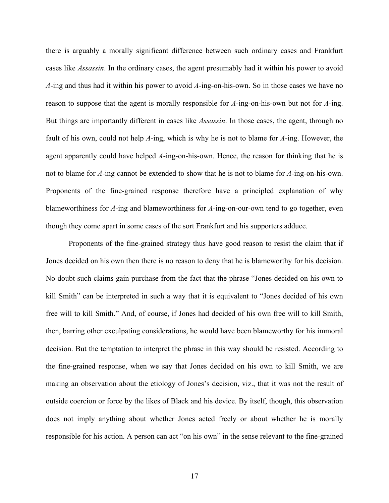there is arguably a morally significant difference between such ordinary cases and Frankfurt cases like *Assassin*. In the ordinary cases, the agent presumably had it within his power to avoid *A*-ing and thus had it within his power to avoid *A*-ing-on-his-own. So in those cases we have no reason to suppose that the agent is morally responsible for *A*-ing-on-his-own but not for *A*-ing. But things are importantly different in cases like *Assassin*. In those cases, the agent, through no fault of his own, could not help *A*-ing, which is why he is not to blame for *A*-ing. However, the agent apparently could have helped *A*-ing-on-his-own. Hence, the reason for thinking that he is not to blame for *A*-ing cannot be extended to show that he is not to blame for *A*-ing-on-his-own. Proponents of the fine-grained response therefore have a principled explanation of why blameworthiness for *A*-ing and blameworthiness for *A*-ing-on-our-own tend to go together, even though they come apart in some cases of the sort Frankfurt and his supporters adduce.

Proponents of the fine-grained strategy thus have good reason to resist the claim that if Jones decided on his own then there is no reason to deny that he is blameworthy for his decision. No doubt such claims gain purchase from the fact that the phrase "Jones decided on his own to kill Smith" can be interpreted in such a way that it is equivalent to "Jones decided of his own free will to kill Smith." And, of course, if Jones had decided of his own free will to kill Smith, then, barring other exculpating considerations, he would have been blameworthy for his immoral decision. But the temptation to interpret the phrase in this way should be resisted. According to the fine-grained response, when we say that Jones decided on his own to kill Smith, we are making an observation about the etiology of Jones's decision, viz., that it was not the result of outside coercion or force by the likes of Black and his device. By itself, though, this observation does not imply anything about whether Jones acted freely or about whether he is morally responsible for his action. A person can act "on his own" in the sense relevant to the fine-grained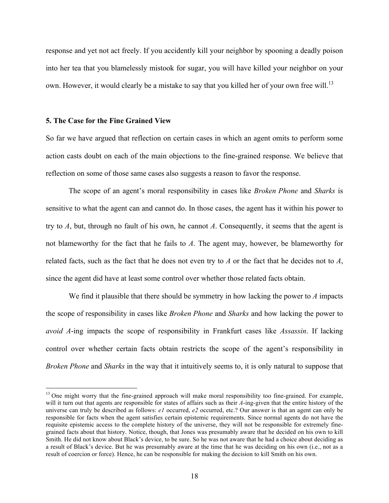response and yet not act freely. If you accidently kill your neighbor by spooning a deadly poison into her tea that you blamelessly mistook for sugar, you will have killed your neighbor on your own. However, it would clearly be a mistake to say that you killed her of your own free will.<sup>13</sup>

### **5. The Case for the Fine Grained View**

So far we have argued that reflection on certain cases in which an agent omits to perform some action casts doubt on each of the main objections to the fine-grained response. We believe that reflection on some of those same cases also suggests a reason to favor the response.

The scope of an agent's moral responsibility in cases like *Broken Phone* and *Sharks* is sensitive to what the agent can and cannot do. In those cases, the agent has it within his power to try to *A*, but, through no fault of his own, he cannot *A*. Consequently, it seems that the agent is not blameworthy for the fact that he fails to *A*. The agent may, however, be blameworthy for related facts, such as the fact that he does not even try to *A* or the fact that he decides not to *A*, since the agent did have at least some control over whether those related facts obtain.

We find it plausible that there should be symmetry in how lacking the power to *A* impacts the scope of responsibility in cases like *Broken Phone* and *Sharks* and how lacking the power to *avoid A*-ing impacts the scope of responsibility in Frankfurt cases like *Assassin*. If lacking control over whether certain facts obtain restricts the scope of the agent's responsibility in *Broken Phone* and *Sharks* in the way that it intuitively seems to, it is only natural to suppose that

<sup>&</sup>lt;sup>13</sup> One might worry that the fine-grained approach will make moral responsibility too fine-grained. For example, will it turn out that agents are responsible for states of affairs such as their *A*-ing-given that the entire history of the universe can truly be described as follows: *e1* occurred, *e2* occurred, etc.? Our answer is that an agent can only be responsible for facts when the agent satisfies certain epistemic requirements. Since normal agents do not have the requisite epistemic access to the complete history of the universe, they will not be responsible for extremely finegrained facts about that history. Notice, though, that Jones was presumably aware that he decided on his own to kill Smith. He did not know about Black's device, to be sure. So he was not aware that he had a choice about deciding as a result of Black's device. But he was presumably aware at the time that he was deciding on his own (i.e., not as a result of coercion or force). Hence, he can be responsible for making the decision to kill Smith on his own.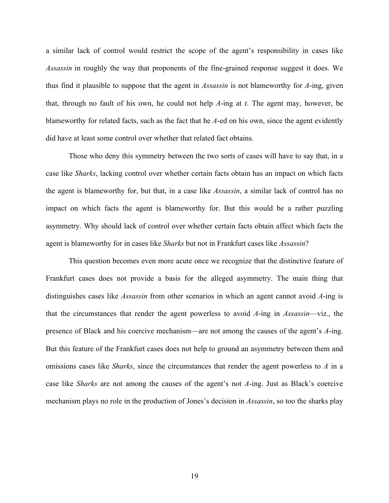a similar lack of control would restrict the scope of the agent's responsibility in cases like *Assassin* in roughly the way that proponents of the fine-grained response suggest it does. We thus find it plausible to suppose that the agent in *Assassin* is not blameworthy for *A*-ing, given that, through no fault of his own, he could not help *A*-ing at *t*. The agent may, however, be blameworthy for related facts, such as the fact that he *A*-ed on his own, since the agent evidently did have at least some control over whether that related fact obtains.

Those who deny this symmetry between the two sorts of cases will have to say that, in a case like *Sharks*, lacking control over whether certain facts obtain has an impact on which facts the agent is blameworthy for, but that, in a case like *Assassin*, a similar lack of control has no impact on which facts the agent is blameworthy for. But this would be a rather puzzling asymmetry. Why should lack of control over whether certain facts obtain affect which facts the agent is blameworthy for in cases like *Sharks* but not in Frankfurt cases like *Assassin*?

This question becomes even more acute once we recognize that the distinctive feature of Frankfurt cases does not provide a basis for the alleged asymmetry. The main thing that distinguishes cases like *Assassin* from other scenarios in which an agent cannot avoid *A*-ing is that the circumstances that render the agent powerless to avoid *A*-ing in *Assassin*—viz., the presence of Black and his coercive mechanism—are not among the causes of the agent's *A*-ing. But this feature of the Frankfurt cases does not help to ground an asymmetry between them and omissions cases like *Sharks*, since the circumstances that render the agent powerless to *A* in a case like *Sharks* are not among the causes of the agent's not *A*-ing. Just as Black's coercive mechanism plays no role in the production of Jones's decision in *Assassin*, so too the sharks play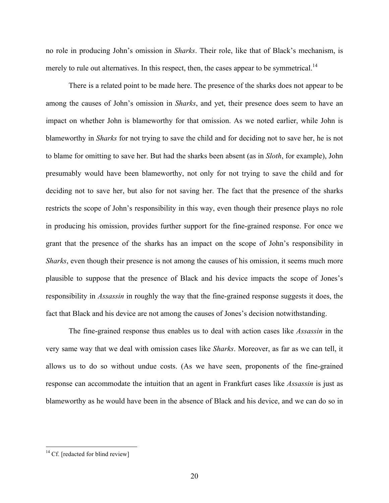no role in producing John's omission in *Sharks*. Their role, like that of Black's mechanism, is merely to rule out alternatives. In this respect, then, the cases appear to be symmetrical.<sup>14</sup>

There is a related point to be made here. The presence of the sharks does not appear to be among the causes of John's omission in *Sharks*, and yet, their presence does seem to have an impact on whether John is blameworthy for that omission. As we noted earlier, while John is blameworthy in *Sharks* for not trying to save the child and for deciding not to save her, he is not to blame for omitting to save her. But had the sharks been absent (as in *Sloth*, for example), John presumably would have been blameworthy, not only for not trying to save the child and for deciding not to save her, but also for not saving her. The fact that the presence of the sharks restricts the scope of John's responsibility in this way, even though their presence plays no role in producing his omission, provides further support for the fine-grained response. For once we grant that the presence of the sharks has an impact on the scope of John's responsibility in *Sharks*, even though their presence is not among the causes of his omission, it seems much more plausible to suppose that the presence of Black and his device impacts the scope of Jones's responsibility in *Assassin* in roughly the way that the fine-grained response suggests it does, the fact that Black and his device are not among the causes of Jones's decision notwithstanding.

The fine-grained response thus enables us to deal with action cases like *Assassin* in the very same way that we deal with omission cases like *Sharks*. Moreover, as far as we can tell, it allows us to do so without undue costs. (As we have seen, proponents of the fine-grained response can accommodate the intuition that an agent in Frankfurt cases like *Assassin* is just as blameworthy as he would have been in the absence of Black and his device, and we can do so in

<sup>&</sup>lt;sup>14</sup> Cf. [redacted for blind review]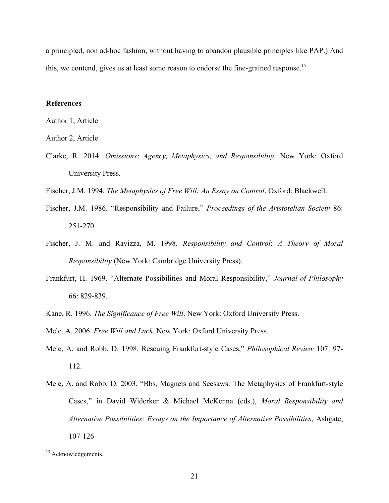a principled, non ad-hoc fashion, without having to abandon plausible principles like PAP.) And this, we contend, gives us at least some reason to endorse the fine-grained response.<sup>15</sup>

# **References**

Author 1, Article

Author 2, Article

Clarke, R. 2014. *Omissions: Agency, Metaphysics, and Responsibility*. New York: Oxford University Press.

Fischer, J.M. 1994. *The Metaphysics of Free Will: An Essay on Control*. Oxford: Blackwell.

- Fischer, J.M. 1986. "Responsibility and Failure," *Proceedings of the Aristotelian Society* 86: 251-270.
- Fischer, J. M. and Ravizza, M. 1998. *Responsibility and Control*: *A Theory of Moral Responsibility* (New York: Cambridge University Press).
- Frankfurt, H. 1969. "Alternate Possibilities and Moral Responsibility," *Journal of Philosophy* 66: 829-839.
- Kane, R. 1996. *The Significance of Free Will*. New York: Oxford University Press.
- Mele, A. 2006. *Free Will and Luck*. New York: Oxford University Press.
- Mele, A. and Robb, D. 1998. Rescuing Frankfurt-style Cases," *Philosophical Review* 107: 97- 112.
- Mele, A. and Robb, D. 2003. "Bbs, Magnets and Seesaws: The Metaphysics of Frankfurt-style Cases," in David Widerker & Michael McKenna (eds.), *Moral Responsibility and Alternative Possibilities: Essays on the Importance of Alternative Possibilities*, Ashgate, 107-126

<sup>&</sup>lt;sup>15</sup> Acknowledgements.